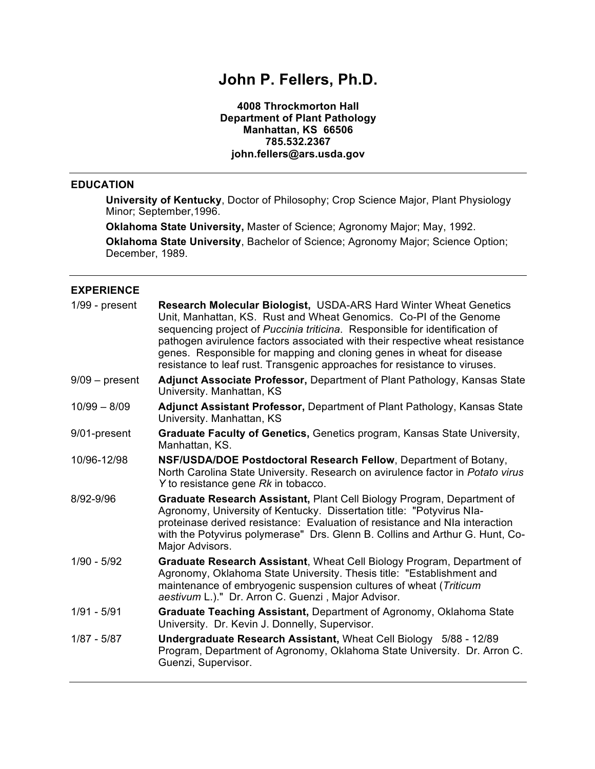# **John P. Fellers, Ph.D.**

**4008 Throckmorton Hall Department of Plant Pathology Manhattan, KS 66506 785.532.2367 john.fellers@ars.usda.gov**

### **EDUCATION**

**University of Kentucky**, Doctor of Philosophy; Crop Science Major, Plant Physiology Minor; September,1996.

**Oklahoma State University,** Master of Science; Agronomy Major; May, 1992.

**Oklahoma State University**, Bachelor of Science; Agronomy Major; Science Option; December, 1989.

# **EXPERIENCE**

| $1/99$ - present | <b>Research Molecular Biologist, USDA-ARS Hard Winter Wheat Genetics</b><br>Unit, Manhattan, KS. Rust and Wheat Genomics. Co-PI of the Genome<br>sequencing project of Puccinia triticina. Responsible for identification of<br>pathogen avirulence factors associated with their respective wheat resistance<br>genes. Responsible for mapping and cloning genes in wheat for disease<br>resistance to leaf rust. Transgenic approaches for resistance to viruses. |
|------------------|---------------------------------------------------------------------------------------------------------------------------------------------------------------------------------------------------------------------------------------------------------------------------------------------------------------------------------------------------------------------------------------------------------------------------------------------------------------------|
| $9/09$ – present | Adjunct Associate Professor, Department of Plant Pathology, Kansas State<br>University. Manhattan, KS                                                                                                                                                                                                                                                                                                                                                               |
| $10/99 - 8/09$   | <b>Adjunct Assistant Professor, Department of Plant Pathology, Kansas State</b><br>University. Manhattan, KS                                                                                                                                                                                                                                                                                                                                                        |
| 9/01-present     | Graduate Faculty of Genetics, Genetics program, Kansas State University,<br>Manhattan, KS.                                                                                                                                                                                                                                                                                                                                                                          |
| 10/96-12/98      | NSF/USDA/DOE Postdoctoral Research Fellow, Department of Botany,<br>North Carolina State University. Research on avirulence factor in Potato virus<br>Y to resistance gene Rk in tobacco.                                                                                                                                                                                                                                                                           |
| 8/92-9/96        | Graduate Research Assistant, Plant Cell Biology Program, Department of<br>Agronomy, University of Kentucky. Dissertation title: "Potyvirus NIa-<br>proteinase derived resistance: Evaluation of resistance and NIa interaction<br>with the Potyvirus polymerase" Drs. Glenn B. Collins and Arthur G. Hunt, Co-<br>Major Advisors.                                                                                                                                   |
| $1/90 - 5/92$    | Graduate Research Assistant, Wheat Cell Biology Program, Department of<br>Agronomy, Oklahoma State University. Thesis title: "Establishment and<br>maintenance of embryogenic suspension cultures of wheat (Triticum<br>aestivum L.)." Dr. Arron C. Guenzi, Major Advisor.                                                                                                                                                                                          |
| $1/91 - 5/91$    | Graduate Teaching Assistant, Department of Agronomy, Oklahoma State<br>University. Dr. Kevin J. Donnelly, Supervisor.                                                                                                                                                                                                                                                                                                                                               |
| $1/87 - 5/87$    | Undergraduate Research Assistant, Wheat Cell Biology 5/88 - 12/89<br>Program, Department of Agronomy, Oklahoma State University. Dr. Arron C.<br>Guenzi, Supervisor.                                                                                                                                                                                                                                                                                                |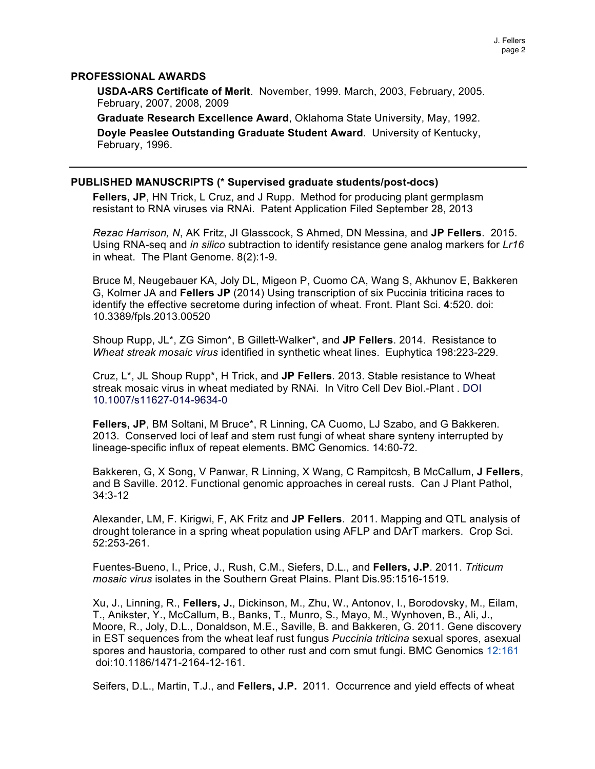### **PROFESSIONAL AWARDS**

**USDA-ARS Certificate of Merit**. November, 1999. March, 2003, February, 2005. February, 2007, 2008, 2009

**Graduate Research Excellence Award**, Oklahoma State University, May, 1992.

**Doyle Peaslee Outstanding Graduate Student Award**. University of Kentucky, February, 1996.

#### **PUBLISHED MANUSCRIPTS (\* Supervised graduate students/post-docs)**

**Fellers, JP**, HN Trick, L Cruz, and J Rupp. Method for producing plant germplasm resistant to RNA viruses via RNAi. Patent Application Filed September 28, 2013

*Rezac Harrison, N*, AK Fritz, JI Glasscock, S Ahmed, DN Messina, and **JP Fellers**. 2015. Using RNA-seq and *in silico* subtraction to identify resistance gene analog markers for *Lr16* in wheat. The Plant Genome. 8(2):1-9.

Bruce M, Neugebauer KA, Joly DL, Migeon P, Cuomo CA, Wang S, Akhunov E, Bakkeren G, Kolmer JA and **Fellers JP** (2014) Using transcription of six Puccinia triticina races to identify the effective secretome during infection of wheat. Front. Plant Sci. **4**:520. doi: 10.3389/fpls.2013.00520

Shoup Rupp, JL\*, ZG Simon\*, B Gillett-Walker\*, and **JP Fellers**. 2014. Resistance to *Wheat streak mosaic virus* identified in synthetic wheat lines. Euphytica 198:223-229.

Cruz, L\*, JL Shoup Rupp\*, H Trick, and **JP Fellers**. 2013. Stable resistance to Wheat streak mosaic virus in wheat mediated by RNAi. In Vitro Cell Dev Biol.-Plant . DOI 10.1007/s11627-014-9634-0

**Fellers, JP**, BM Soltani, M Bruce\*, R Linning, CA Cuomo, LJ Szabo, and G Bakkeren. 2013. Conserved loci of leaf and stem rust fungi of wheat share synteny interrupted by lineage-specific influx of repeat elements. BMC Genomics. 14:60-72.

Bakkeren, G, X Song, V Panwar, R Linning, X Wang, C Rampitcsh, B McCallum, **J Fellers**, and B Saville. 2012. Functional genomic approaches in cereal rusts. Can J Plant Pathol, 34:3-12

Alexander, LM, F. Kirigwi, F, AK Fritz and **JP Fellers**. 2011. Mapping and QTL analysis of drought tolerance in a spring wheat population using AFLP and DArT markers. Crop Sci. 52:253-261.

Fuentes-Bueno, I., Price, J., Rush, C.M., Siefers, D.L., and **Fellers, J.P**. 2011. *Triticum mosaic virus* isolates in the Southern Great Plains. Plant Dis.95:1516-1519.

Xu, J., Linning, R., **Fellers, J.**, Dickinson, M., Zhu, W., Antonov, I., Borodovsky, M., Eilam, T., Anikster, Y., McCallum, B., Banks, T., Munro, S., Mayo, M., Wynhoven, B., Ali, J., Moore, R., Joly, D.L., Donaldson, M.E., Saville, B. and Bakkeren, G. 2011. Gene discovery in EST sequences from the wheat leaf rust fungus *Puccinia triticina* sexual spores, asexual spores and haustoria, compared to other rust and corn smut fungi. BMC Genomics 12:161 doi:10.1186/1471-2164-12-161.

Seifers, D.L., Martin, T.J., and **Fellers, J.P.** 2011. Occurrence and yield effects of wheat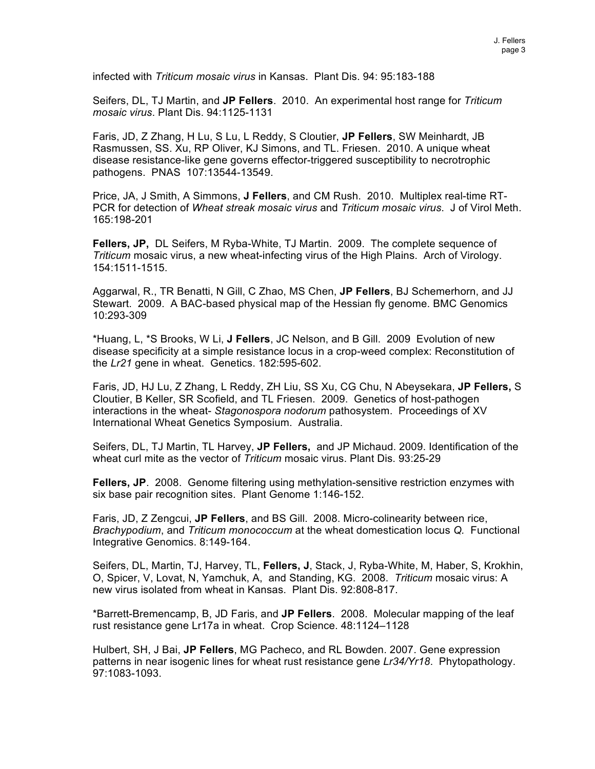infected with *Triticum mosaic virus* in Kansas. Plant Dis. 94: 95:183-188

Seifers, DL, TJ Martin, and **JP Fellers**. 2010. An experimental host range for *Triticum mosaic virus*. Plant Dis. 94:1125-1131

Faris, JD, Z Zhang, H Lu, S Lu, L Reddy, S Cloutier, **JP Fellers**, SW Meinhardt, JB Rasmussen, SS. Xu, RP Oliver, KJ Simons, and TL. Friesen. 2010. A unique wheat disease resistance-like gene governs effector-triggered susceptibility to necrotrophic pathogens. PNAS 107:13544-13549.

Price, JA, J Smith, A Simmons, **J Fellers**, and CM Rush. 2010. Multiplex real-time RT-PCR for detection of *Wheat streak mosaic virus* and *Triticum mosaic virus*. J of Virol Meth. 165:198-201

**Fellers, JP,** DL Seifers, M Ryba-White, TJ Martin. 2009. The complete sequence of *Triticum* mosaic virus, a new wheat-infecting virus of the High Plains. Arch of Virology. 154:1511-1515.

Aggarwal, R., TR Benatti, N Gill, C Zhao, MS Chen, **JP Fellers**, BJ Schemerhorn, and JJ Stewart. 2009. A BAC-based physical map of the Hessian fly genome. BMC Genomics 10:293-309

\*Huang, L, \*S Brooks, W Li, **J Fellers**, JC Nelson, and B Gill. 2009 Evolution of new disease specificity at a simple resistance locus in a crop-weed complex: Reconstitution of the *Lr21* gene in wheat. Genetics. 182:595-602.

Faris, JD, HJ Lu, Z Zhang, L Reddy, ZH Liu, SS Xu, CG Chu, N Abeysekara, **JP Fellers,** S Cloutier, B Keller, SR Scofield, and TL Friesen. 2009. Genetics of host-pathogen interactions in the wheat- *Stagonospora nodorum* pathosystem. Proceedings of XV International Wheat Genetics Symposium. Australia.

Seifers, DL, TJ Martin, TL Harvey, **JP Fellers,** and JP Michaud. 2009. Identification of the wheat curl mite as the vector of *Triticum* mosaic virus. Plant Dis. 93:25-29

**Fellers, JP**. 2008. Genome filtering using methylation-sensitive restriction enzymes with six base pair recognition sites. Plant Genome 1:146-152.

Faris, JD, Z Zengcui, **JP Fellers**, and BS Gill. 2008. Micro-colinearity between rice, *Brachypodium*, and *Triticum monococcum* at the wheat domestication locus *Q.* Functional Integrative Genomics. 8:149-164.

Seifers, DL, Martin, TJ, Harvey, TL, **Fellers, J**, Stack, J, Ryba-White, M, Haber, S, Krokhin, O, Spicer, V, Lovat, N, Yamchuk, A, and Standing, KG. 2008. *Triticum* mosaic virus: A new virus isolated from wheat in Kansas. Plant Dis. 92:808-817.

\*Barrett-Bremencamp, B, JD Faris, and **JP Fellers**. 2008. Molecular mapping of the leaf rust resistance gene Lr17a in wheat. Crop Science. 48:1124–1128

Hulbert, SH, J Bai, **JP Fellers**, MG Pacheco, and RL Bowden. 2007. Gene expression patterns in near isogenic lines for wheat rust resistance gene *Lr34/Yr18*. Phytopathology. 97:1083-1093.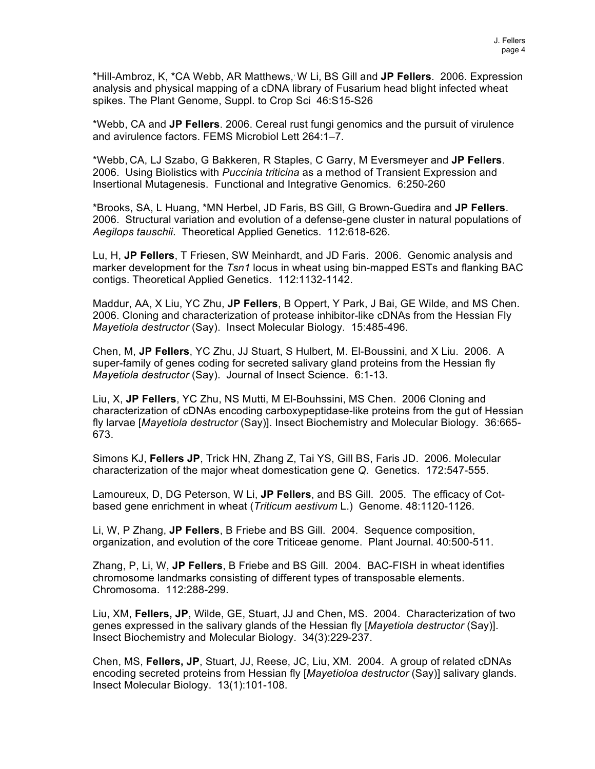\*Hill-Ambroz, K, \*CA Webb, AR Matthews,, W Li, BS Gill and **JP Fellers**. 2006. Expression analysis and physical mapping of a cDNA library of Fusarium head blight infected wheat spikes. The Plant Genome, Suppl. to Crop Sci 46:S15-S26

\*Webb, CA and **JP Fellers**. 2006. Cereal rust fungi genomics and the pursuit of virulence and avirulence factors. FEMS Microbiol Lett 264:1–7.

\*Webb, CA, LJ Szabo, G Bakkeren, R Staples, C Garry, M Eversmeyer and **JP Fellers**. 2006. Using Biolistics with *Puccinia triticina* as a method of Transient Expression and Insertional Mutagenesis. Functional and Integrative Genomics. 6:250-260

\*Brooks, SA, L Huang, \*MN Herbel, JD Faris, BS Gill, G Brown-Guedira and **JP Fellers**. 2006. Structural variation and evolution of a defense-gene cluster in natural populations of *Aegilops tauschii*. Theoretical Applied Genetics. 112:618-626.

Lu, H, **JP Fellers**, T Friesen, SW Meinhardt, and JD Faris. 2006. Genomic analysis and marker development for the *Tsn1* locus in wheat using bin-mapped ESTs and flanking BAC contigs. Theoretical Applied Genetics. 112:1132-1142.

Maddur, AA, X Liu, YC Zhu, **JP Fellers**, B Oppert, Y Park, J Bai, GE Wilde, and MS Chen. 2006. Cloning and characterization of protease inhibitor-like cDNAs from the Hessian Fly *Mayetiola destructor* (Say). Insect Molecular Biology. 15:485-496.

Chen, M, **JP Fellers**, YC Zhu, JJ Stuart, S Hulbert, M. El-Boussini, and X Liu. 2006. A super-family of genes coding for secreted salivary gland proteins from the Hessian fly *Mayetiola destructor* (Say). Journal of Insect Science. 6:1-13.

Liu, X, **JP Fellers**, YC Zhu, NS Mutti, M El-Bouhssini, MS Chen. 2006 Cloning and characterization of cDNAs encoding carboxypeptidase-like proteins from the gut of Hessian fly larvae [*Mayetiola destructor* (Say)]. Insect Biochemistry and Molecular Biology. 36:665- 673.

Simons KJ, **Fellers JP**, Trick HN, Zhang Z, Tai YS, Gill BS, Faris JD. 2006. Molecular characterization of the major wheat domestication gene *Q*. Genetics. 172:547-555.

Lamoureux, D, DG Peterson, W Li, **JP Fellers**, and BS Gill. 2005. The efficacy of Cotbased gene enrichment in wheat (*Triticum aestivum* L.) Genome. 48:1120-1126.

Li, W, P Zhang, **JP Fellers**, B Friebe and BS Gill. 2004. Sequence composition, organization, and evolution of the core Triticeae genome. Plant Journal. 40:500-511.

Zhang, P, Li, W, **JP Fellers**, B Friebe and BS Gill. 2004. BAC-FISH in wheat identifies chromosome landmarks consisting of different types of transposable elements. Chromosoma. 112:288-299.

Liu, XM, **Fellers, JP**, Wilde, GE, Stuart, JJ and Chen, MS. 2004. Characterization of two genes expressed in the salivary glands of the Hessian fly [*Mayetiola destructor* (Say)]. Insect Biochemistry and Molecular Biology. 34(3):229-237.

Chen, MS, **Fellers, JP**, Stuart, JJ, Reese, JC, Liu, XM. 2004. A group of related cDNAs encoding secreted proteins from Hessian fly [*Mayetioloa destructor* (Say)] salivary glands. Insect Molecular Biology. 13(1):101-108.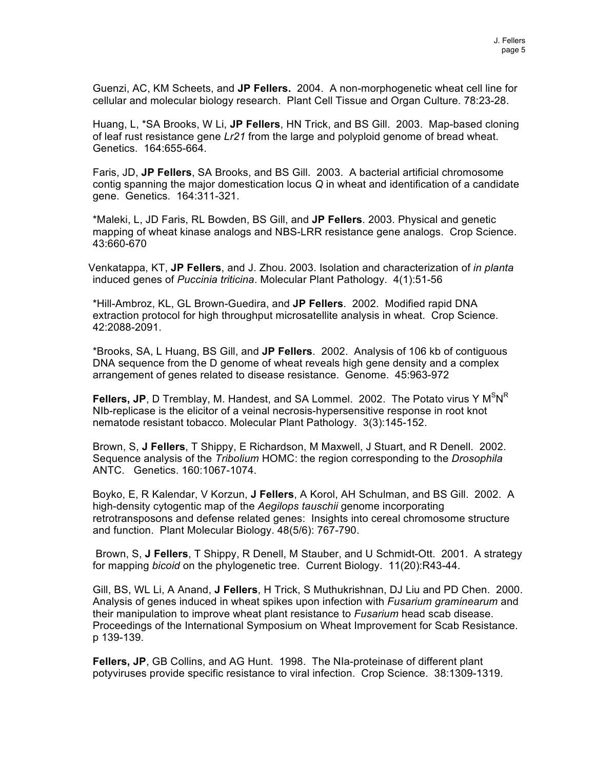Guenzi, AC, KM Scheets, and **JP Fellers.** 2004. A non-morphogenetic wheat cell line for cellular and molecular biology research. Plant Cell Tissue and Organ Culture. 78:23-28.

Huang, L, \*SA Brooks, W Li, **JP Fellers**, HN Trick, and BS Gill. 2003. Map-based cloning of leaf rust resistance gene *Lr21* from the large and polyploid genome of bread wheat. Genetics. 164:655-664.

Faris, JD, **JP Fellers**, SA Brooks, and BS Gill. 2003. A bacterial artificial chromosome contig spanning the major domestication locus *Q* in wheat and identification of a candidate gene. Genetics. 164:311-321.

\*Maleki, L, JD Faris, RL Bowden, BS Gill, and **JP Fellers**. 2003. Physical and genetic mapping of wheat kinase analogs and NBS-LRR resistance gene analogs. Crop Science. 43:660-670

Venkatappa, KT, **JP Fellers**, and J. Zhou. 2003. Isolation and characterization of *in planta* induced genes of *Puccinia triticina*. Molecular Plant Pathology. 4(1):51-56

\*Hill-Ambroz, KL, GL Brown-Guedira, and **JP Fellers**. 2002. Modified rapid DNA extraction protocol for high throughput microsatellite analysis in wheat. Crop Science. 42:2088-2091.

\*Brooks, SA, L Huang, BS Gill, and **JP Fellers**. 2002. Analysis of 106 kb of contiguous DNA sequence from the D genome of wheat reveals high gene density and a complex arrangement of genes related to disease resistance. Genome. 45:963-972

Fellers, JP, D Tremblay, M. Handest, and SA Lommel. 2002. The Potato virus Y M<sup>S</sup>N<sup>R</sup> NIb-replicase is the elicitor of a veinal necrosis-hypersensitive response in root knot nematode resistant tobacco. Molecular Plant Pathology. 3(3):145-152.

Brown, S, **J Fellers**, T Shippy, E Richardson, M Maxwell, J Stuart, and R Denell. 2002. Sequence analysis of the *Tribolium* HOMC: the region corresponding to the *Drosophila* ANTC. Genetics. 160:1067-1074.

Boyko, E, R Kalendar, V Korzun, **J Fellers**, A Korol, AH Schulman, and BS Gill. 2002. A high-density cytogentic map of the *Aegilops tauschii* genome incorporating retrotransposons and defense related genes: Insights into cereal chromosome structure and function. Plant Molecular Biology. 48(5/6): 767-790.

Brown, S, **J Fellers**, T Shippy, R Denell, M Stauber, and U Schmidt-Ott. 2001. A strategy for mapping *bicoid* on the phylogenetic tree. Current Biology. 11(20):R43-44.

Gill, BS, WL Li, A Anand, **J Fellers**, H Trick, S Muthukrishnan, DJ Liu and PD Chen. 2000. Analysis of genes induced in wheat spikes upon infection with *Fusarium graminearum* and their manipulation to improve wheat plant resistance to *Fusarium* head scab disease. Proceedings of the International Symposium on Wheat Improvement for Scab Resistance. p 139-139.

**Fellers, JP**, GB Collins, and AG Hunt. 1998. The NIa-proteinase of different plant potyviruses provide specific resistance to viral infection. Crop Science. 38:1309-1319.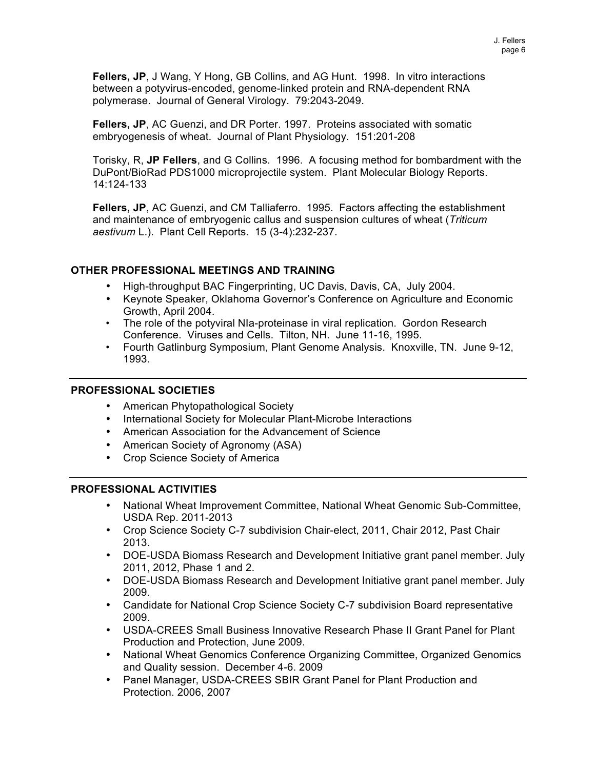**Fellers, JP**, J Wang, Y Hong, GB Collins, and AG Hunt. 1998. In vitro interactions between a potyvirus-encoded, genome-linked protein and RNA-dependent RNA polymerase. Journal of General Virology. 79:2043-2049.

**Fellers, JP**, AC Guenzi, and DR Porter. 1997. Proteins associated with somatic embryogenesis of wheat. Journal of Plant Physiology. 151:201-208

Torisky, R, **JP Fellers**, and G Collins. 1996. A focusing method for bombardment with the DuPont/BioRad PDS1000 microprojectile system. Plant Molecular Biology Reports. 14:124-133

**Fellers, JP**, AC Guenzi, and CM Talliaferro. 1995. Factors affecting the establishment and maintenance of embryogenic callus and suspension cultures of wheat (*Triticum aestivum* L.). Plant Cell Reports. 15 (3-4):232-237.

# **OTHER PROFESSIONAL MEETINGS AND TRAINING**

- High-throughput BAC Fingerprinting, UC Davis, Davis, CA, July 2004.
- Keynote Speaker, Oklahoma Governor's Conference on Agriculture and Economic Growth, April 2004.
- The role of the potyviral NIa-proteinase in viral replication. Gordon Research Conference. Viruses and Cells. Tilton, NH. June 11-16, 1995.
- Fourth Gatlinburg Symposium, Plant Genome Analysis. Knoxville, TN. June 9-12, 1993.

# **PROFESSIONAL SOCIETIES**

- American Phytopathological Society
- International Society for Molecular Plant-Microbe Interactions
- American Association for the Advancement of Science
- American Society of Agronomy (ASA)
- Crop Science Society of America

# **PROFESSIONAL ACTIVITIES**

- National Wheat Improvement Committee, National Wheat Genomic Sub-Committee, USDA Rep. 2011-2013
- Crop Science Society C-7 subdivision Chair-elect, 2011, Chair 2012, Past Chair 2013.
- DOE-USDA Biomass Research and Development Initiative grant panel member. July 2011, 2012, Phase 1 and 2.
- DOE-USDA Biomass Research and Development Initiative grant panel member. July 2009.
- Candidate for National Crop Science Society C-7 subdivision Board representative 2009.
- USDA-CREES Small Business Innovative Research Phase II Grant Panel for Plant Production and Protection, June 2009.
- National Wheat Genomics Conference Organizing Committee, Organized Genomics and Quality session. December 4-6. 2009
- Panel Manager, USDA-CREES SBIR Grant Panel for Plant Production and Protection. 2006, 2007